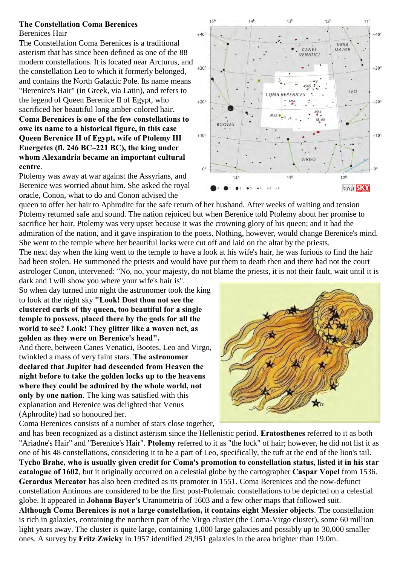## **The Constellation Coma Berenices**

Berenices Hair

The Constellation Coma Berenices is a traditional asterism that has since been defined as one of the 88 modern constellations. It is located near Arcturus, and the constellation Leo to which it formerly belonged, and contains the North Galactic Pole. Its name means "Berenice's Hair" (in Greek, via Latin), and refers to the legend of Queen Berenice II of Egypt, who sacrificed her beautiful long amber-colored hair. **Coma Berenices is one of the few constellations to owe its name to a historical figure, in this case Queen Berenice II of Egypt, wife of Ptolemy III Euergetes (fl. 246 BC–221 BC), the king under whom Alexandria became an important cultural centre**.

Ptolemy was away at war against the Assyrians, and Berenice was worried about him. She asked the royal oracle, Conon, what to do and Conon advised the

queen to offer her hair to Aphrodite for the safe return of her husband. After weeks of waiting and tension Ptolemy returned safe and sound. The nation rejoiced but when Berenice told Ptolemy about her promise to sacrifice her hair, Ptolemy was very upset because it was the crowning glory of his queen; and it had the admiration of the nation, and it gave inspiration to the poets. Nothing, however, would change Berenice's mind. She went to the temple where her beautiful locks were cut off and laid on the altar by the priests.

The next day when the king went to the temple to have a look at his wife's hair, he was furious to find the hair had been stolen. He summoned the priests and would have put them to death then and there had not the court astrologer Conon, intervened: "No, no, your majesty, do not blame the priests, it is not their fault, wait until it is dark and I will show you where your wife's hair is".

So when day turned into night the astronomer took the king to look at the night sky **"Look! Dost thou not see the clustered curls of thy queen, too beautiful for a single temple to possess, placed there by the gods for all the world to see? Look! They glitter like a woven net, as golden as they were on Berenice's head".**  And there, between Canes Venatici, Bootes, Leo and Virgo,

twinkled a mass of very faint stars. **The astronomer declared that Jupiter had descended from Heaven the night before to take the golden locks up to the heavens where they could be admired by the whole world, not only by one nation**. The king was satisfied with this explanation and Berenice was delighted that Venus (Aphrodite) had so honoured her.

Coma Berenices consists of a number of stars close together,





and has been recognized as a distinct asterism since the Hellenistic period. **Eratosthenes** referred to it as both "Ariadne's Hair" and "Berenice's Hair". **Ptolemy** referred to it as "the lock" of hair; however, he did not list it as one of his 48 constellations, considering it to be a part of Leo, specifically, the tuft at the end of the lion's tail. **Tycho Brahe, who is usually given credit for Coma's promotion to constellation status, listed it in his star catalogue of 1602**, but it originally occurred on a celestial globe by the cartographer **Caspar Vopel** from 1536. **Gerardus Mercator** has also been credited as its promoter in 1551. Coma Berenices and the now-defunct constellation Antinous are considered to be the first post-Ptolemaic constellations to be depicted on a celestial globe. It appeared in **Johann Bayer's** Uranometria of 1603 and a few other maps that followed suit. **Although Coma Berenices is not a large constellation, it contains eight Messier objects**. The constellation is rich in galaxies, containing the northern part of the Virgo cluster (the Coma-Virgo cluster), some 60 million light years away. The cluster is quite large, containing 1,000 large galaxies and possibly up to 30,000 smaller ones. A survey by **Fritz Zwicky** in 1957 identified 29,951 galaxies in the area brighter than 19.0m.